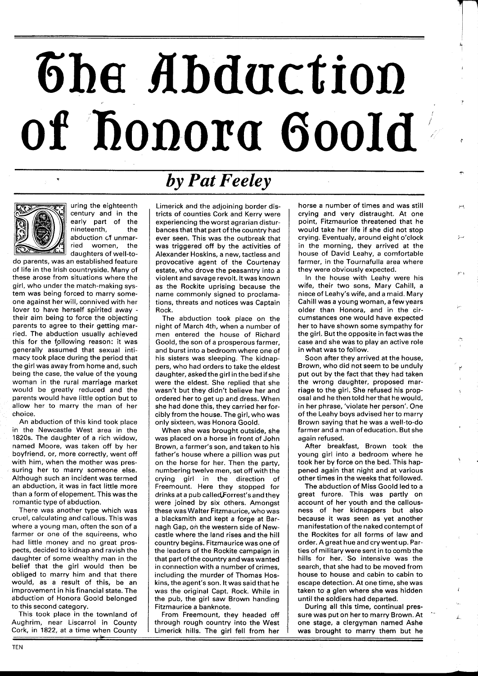## The Abduction of honorg Goold



uring the eighteenth century and in the early part of the nineteenth, the abduction cf unmarried women, the daughters of well-to-

do parents, was an established feature of life in the Irish countryside. Many of these arose from situations where the girl, who under the match-making system was being forced to marry someone against her will, connived with her lover to have herself spirited away their aim being to force the objecting parents to agree to their getting married. The abduction usually achieved this for the fpllowing reason: it was generally assumed that sexual intimacy took place during the period that the girl was away from home and, such being the case, the value of the young woman in the rural marriage market would be greatly reduced and the parents would have little option but to allow her to marry the man of her choice.

An abduction of this kind took place in the Newcastle West area in the 1820s. The daughter of a rich widow, named Moore, was taken off by her boyfriend, or, more correctly, went off with him, when the mother was pressuring her to marry someone else. Although such an incident was termed an abduction, it was in fact little more than a form of elopement. This was the romantic type of abduction.

There was another type which was cruel, calculating and callous. This was where a young man, often the son of a farmer or one of the squireens, who had little money and no great prospects, decided to kidnap and ravish the daughter of some wealthy man in the belief that the girl would then be obliged to marry him and that there would, as a result of this, be an improvement in his financial state. The abduction of Honora Goold belonged to this second category.

This took place in the townland of Aughrim, near Liscarrol in County Cork, in 1822, at a time when County

## **<sup>S</sup>***by Pat Feeley*

Limerick and the adjoining border districts of counties Cork and Kerry were experiencing the worst agrarian disturbances that that part of the country had ever seen. This was the outbreak that was triggered off by the activities of Alexander Hoskins, a new, tactless and provocative agent of the Courtenay estate, who drove the peasantry into a violent and savage revolt. It was known as the Rockite uprising because the name commonly signed to proclamations, threats and notices was Captain Rock.

The abduction took place on the night of March 4th, when a number of men entered the house of Richard Goold, the son of a prosperous farmer, and burst into a bedroom where one of his sisters was sleeping. The kidnappers, who had orders to take the eldest daughter, asked the girl in the bed if she were the eldest. She replied that she wasn't but they didn't believe her and ordered her to get up and dress. When she had done this, they carried her forcibly from the house. The girl, who was only sixteen, was Honora Goold.

When she was brought outside, she was placed on a horse in front of John Brown, a farmer's son, and taken to his father's house where a pillion was put on the horse for her. Then the party, numbering twelve men, set off with the crying girl in the direction of Freemount. Here they stopped for drinks at a pub calledforrest's and they were joined by six others. Amongst these was Walter Fitzmaurice, who was a blacksmith and kept a forge at Barnagh Gap, on the western side of Newcastle where the land rises and the hill country begins. Fitzmaurice was one of the leaders of the Rockite campaign in that part ofthe country and was wanted in connection with a number of crimes, including the murder of Thomas Hoskins, the agent's son. It was said that he was the original Capt. Rock. While in the pub, the girl saw Brown handing Fitzmaurice a banknote.

From Freemount, they headed off through rough country into the West Limerick hills. The girl fell from her horse a number of times and was still crying and very distraught. At one point, Fitzmaurice threatened that he would take her life if she did not stop crying. Eventualy, around eight o'clock in the morning, they arrived at the house of David Leahy, a comfortable farmer, in the Tournafulla area where they were obviously expected.

In the house with Leahy were his wife, their two sons, Mary Cahill, a niece of Leahy's wife, and a maid. Mary Cahill was a young woman, afewyears older than Honora, and in the circumstances one would have expected her to have shown some sympathy for the girl. But the opposite in fact was the case and she was to play an active role in what was to follow.

Soon after they arrived at the house, Brown, who did not seem to be unduly put out by the fact that they had taken the wrong daughter, proposed marriage to the girl. She refused his proposal and he then told herthat he would, in her phrase, 'violate her person'. One of the Leahy boys advised her to marry Brown saying that he was a well-to-do farmer and a man of education. But she again refused.

After breakfast, Brown took the young girl into a bedroom where he took her by force on the bed. This happened again that night and at various other times in the weeks that followed.

The abduction of Miss Goold led to a great furore. This was partly on account of her youth and the callousness of her kidnappers but also because it was seen as yet another manifestation of the naked contempt of the Rockites for all forms of law and order. Agreat hue and cry went up. Parties of military were sent in to comb the hills for her. So intensive was the search, that she had to be moved from house to house and cabin to cabin to escape detection. At one time, she was taken to a glen where she was hidden until the soldiers had departed.

During all this time, continual pressure was put on her to marry Brown. At one stage, a clergyman named Ashe was brought to marry them but he

L